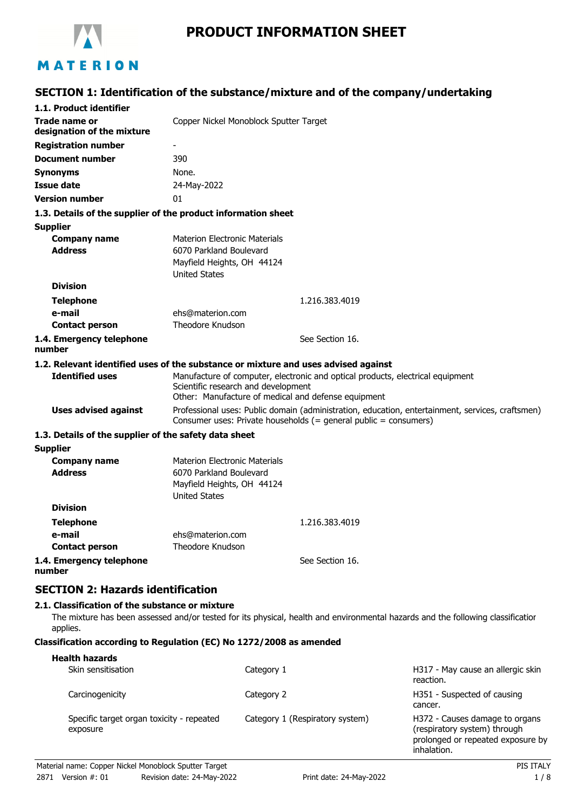

# **PRODUCT INFORMATION SHEET**

# **SECTION 1: Identification of the substance/mixture and of the company/undertaking**

| 1.1. Product identifier                                     |                                                                                                                                                                              |
|-------------------------------------------------------------|------------------------------------------------------------------------------------------------------------------------------------------------------------------------------|
| Trade name or<br>designation of the mixture                 | Copper Nickel Monoblock Sputter Target                                                                                                                                       |
| <b>Registration number</b>                                  | -                                                                                                                                                                            |
| <b>Document number</b>                                      | 390                                                                                                                                                                          |
| <b>Synonyms</b>                                             | None.                                                                                                                                                                        |
| <b>Issue date</b>                                           | 24-May-2022                                                                                                                                                                  |
| <b>Version number</b>                                       | 01                                                                                                                                                                           |
|                                                             | 1.3. Details of the supplier of the product information sheet                                                                                                                |
| <b>Supplier</b>                                             |                                                                                                                                                                              |
| <b>Company name</b><br><b>Address</b>                       | <b>Materion Electronic Materials</b><br>6070 Parkland Boulevard<br>Mayfield Heights, OH 44124<br><b>United States</b>                                                        |
| <b>Division</b>                                             |                                                                                                                                                                              |
| <b>Telephone</b>                                            | 1.216.383.4019                                                                                                                                                               |
| e-mail                                                      | ehs@materion.com                                                                                                                                                             |
| <b>Contact person</b>                                       | Theodore Knudson                                                                                                                                                             |
| 1.4. Emergency telephone<br>number                          | See Section 16.                                                                                                                                                              |
|                                                             | 1.2. Relevant identified uses of the substance or mixture and uses advised against                                                                                           |
| <b>Identified uses</b>                                      | Manufacture of computer, electronic and optical products, electrical equipment<br>Scientific research and development<br>Other: Manufacture of medical and defense equipment |
| <b>Uses advised against</b>                                 | Professional uses: Public domain (administration, education, entertainment, services, craftsmen)<br>Consumer uses: Private households (= general public = consumers)         |
| 1.3. Details of the supplier of the safety data sheet       |                                                                                                                                                                              |
| <b>Supplier</b>                                             |                                                                                                                                                                              |
| <b>Company name</b><br><b>Address</b>                       | <b>Materion Electronic Materials</b><br>6070 Parkland Boulevard<br>Mayfield Heights, OH 44124<br><b>United States</b>                                                        |
| <b>Division</b>                                             |                                                                                                                                                                              |
| <b>Telephone</b>                                            | 1.216.383.4019                                                                                                                                                               |
| e-mail                                                      | ehs@materion.com                                                                                                                                                             |
| <b>Contact person</b>                                       | <b>Theodore Knudson</b>                                                                                                                                                      |
| 1.4. Emergency telephone<br>number                          | See Section 16.                                                                                                                                                              |
| <b>SECTION 2: Hazards identification</b>                    |                                                                                                                                                                              |
| 2.1. Classification of the substance or mixture<br>applies. | The mixture has been assessed and/or tested for its physical, health and environmental hazards and the following classificatior                                              |

### **Classification according to Regulation (EC) No 1272/2008 as amended**

| <b>Health hazards</b>                                 |                                 |                                                                                                                    |
|-------------------------------------------------------|---------------------------------|--------------------------------------------------------------------------------------------------------------------|
| Skin sensitisation                                    | Category 1                      | H317 - May cause an allergic skin<br>reaction.                                                                     |
| Carcinogenicity                                       | Category 2                      | H351 - Suspected of causing<br>cancer.                                                                             |
| Specific target organ toxicity - repeated<br>exposure | Category 1 (Respiratory system) | H372 - Causes damage to organs<br>(respiratory system) through<br>prolonged or repeated exposure by<br>inhalation. |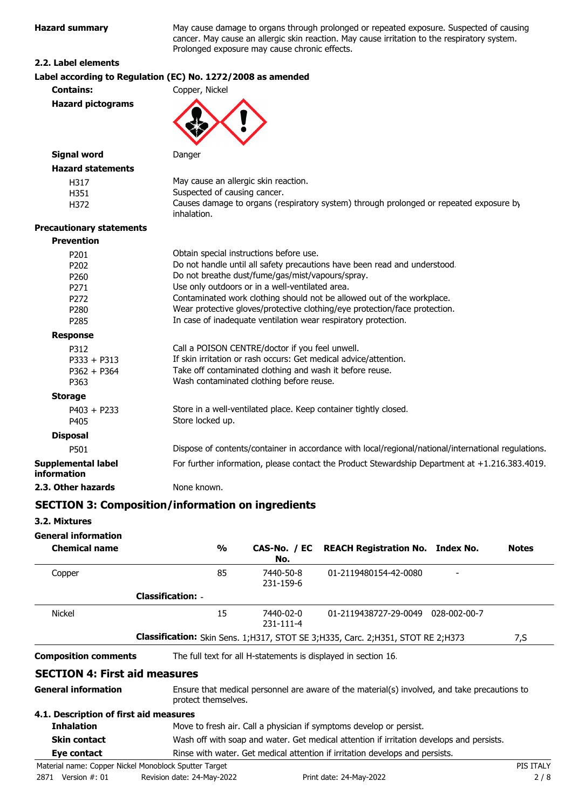**Hazard summary** May cause damage to organs through prolonged or repeated exposure. Suspected of causing cancer. May cause an allergic skin reaction. May cause irritation to the respiratory system. Prolonged exposure may cause chronic effects.

### **2.2. Label elements**

|                                          | Label according to Regulation (EC) No. 1272/2008 as amended                                           |
|------------------------------------------|-------------------------------------------------------------------------------------------------------|
| <b>Contains:</b>                         | Copper, Nickel                                                                                        |
| <b>Hazard pictograms</b>                 |                                                                                                       |
| <b>Signal word</b>                       | Danger                                                                                                |
| <b>Hazard statements</b>                 |                                                                                                       |
| H317                                     | May cause an allergic skin reaction.                                                                  |
| H351                                     | Suspected of causing cancer.                                                                          |
| H372                                     | Causes damage to organs (respiratory system) through prolonged or repeated exposure by<br>inhalation. |
| <b>Precautionary statements</b>          |                                                                                                       |
| <b>Prevention</b>                        |                                                                                                       |
| P201                                     | Obtain special instructions before use.                                                               |
| P202                                     | Do not handle until all safety precautions have been read and understood.                             |
| P260                                     | Do not breathe dust/fume/gas/mist/vapours/spray.                                                      |
| P271                                     | Use only outdoors or in a well-ventilated area.                                                       |
| P272                                     | Contaminated work clothing should not be allowed out of the workplace.                                |
| P280                                     | Wear protective gloves/protective clothing/eye protection/face protection.                            |
| P285                                     | In case of inadequate ventilation wear respiratory protection.                                        |
| <b>Response</b>                          |                                                                                                       |
| P312                                     | Call a POISON CENTRE/doctor if you feel unwell.                                                       |
| $P333 + P313$                            | If skin irritation or rash occurs: Get medical advice/attention.                                      |
| $P362 + P364$                            | Take off contaminated clothing and wash it before reuse.                                              |
| P363                                     | Wash contaminated clothing before reuse.                                                              |
| <b>Storage</b>                           |                                                                                                       |
| $P403 + P233$                            | Store in a well-ventilated place. Keep container tightly closed.                                      |
| P405                                     | Store locked up.                                                                                      |
| <b>Disposal</b>                          |                                                                                                       |
| P501                                     | Dispose of contents/container in accordance with local/regional/national/international regulations.   |
| <b>Supplemental label</b><br>information | For further information, please contact the Product Stewardship Department at +1.216.383.4019.        |
| 2.3. Other hazards                       | None known.                                                                                           |
|                                          |                                                                                                       |

## **SECTION 3: Composition/information on ingredients**

### **3.2. Mixtures**

**General information**

| $\frac{1}{2}$                          | No.                    |                       |                                                                                                                                       | <b>Notes</b>                                                                                                                                                                                                                                                                  |
|----------------------------------------|------------------------|-----------------------|---------------------------------------------------------------------------------------------------------------------------------------|-------------------------------------------------------------------------------------------------------------------------------------------------------------------------------------------------------------------------------------------------------------------------------|
| 85                                     | 7440-50-8<br>231-159-6 | 01-2119480154-42-0080 |                                                                                                                                       |                                                                                                                                                                                                                                                                               |
| <b>Classification: -</b>               |                        |                       |                                                                                                                                       |                                                                                                                                                                                                                                                                               |
| 15                                     | 7440-02-0<br>231-111-4 |                       |                                                                                                                                       |                                                                                                                                                                                                                                                                               |
|                                        |                        |                       |                                                                                                                                       | 7,S                                                                                                                                                                                                                                                                           |
|                                        |                        |                       |                                                                                                                                       |                                                                                                                                                                                                                                                                               |
| <b>SECTION 4: First aid measures</b>   |                        |                       |                                                                                                                                       |                                                                                                                                                                                                                                                                               |
|                                        |                        |                       |                                                                                                                                       |                                                                                                                                                                                                                                                                               |
| 4.1. Description of first aid measures |                        |                       |                                                                                                                                       |                                                                                                                                                                                                                                                                               |
|                                        |                        |                       |                                                                                                                                       |                                                                                                                                                                                                                                                                               |
|                                        |                        | protect themselves.   | The full text for all H-statements is displayed in section 16.<br>Move to fresh air. Call a physician if symptoms develop or persist. | CAS-No. / EC REACH Registration No. Index No.<br>01-2119438727-29-0049 028-002-00-7<br><b>Classification:</b> Skin Sens. 1;H317, STOT SE 3;H335, Carc. 2;H351, STOT RE 2;H373<br>Ensure that medical personnel are aware of the material(s) involved, and take precautions to |

### **Skin contact** Wash off with soap and water. Get medical attention if irritation develops and persists.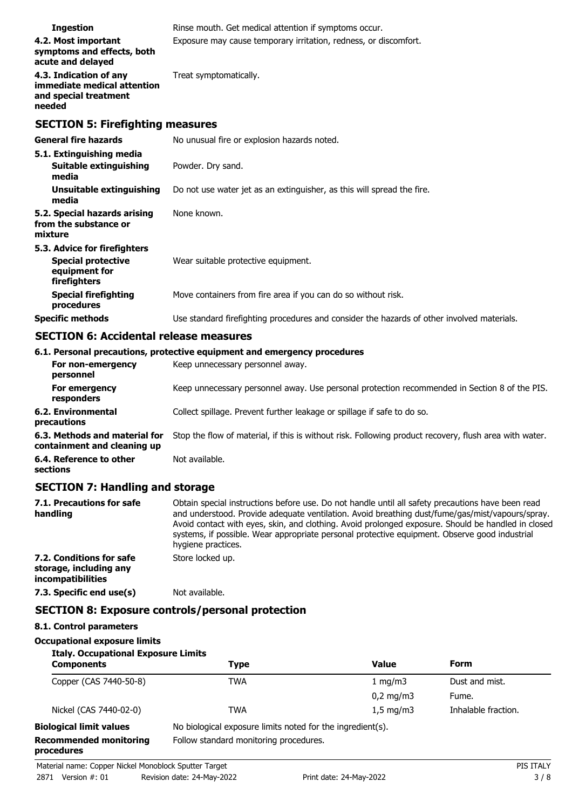| <b>Ingestion</b>                                                                           | Rinse mouth. Get medical attention if symptoms occur.                                      |
|--------------------------------------------------------------------------------------------|--------------------------------------------------------------------------------------------|
| 4.2. Most important<br>symptoms and effects, both<br>acute and delayed                     | Exposure may cause temporary irritation, redness, or discomfort.                           |
| 4.3. Indication of any<br>immediate medical attention<br>and special treatment<br>needed   | Treat symptomatically.                                                                     |
| <b>SECTION 5: Firefighting measures</b>                                                    |                                                                                            |
| <b>General fire hazards</b>                                                                | No unusual fire or explosion hazards noted.                                                |
| 5.1. Extinguishing media<br><b>Suitable extinguishing</b><br>media                         | Powder. Dry sand.                                                                          |
| Unsuitable extinguishing<br>media                                                          | Do not use water jet as an extinguisher, as this will spread the fire.                     |
| 5.2. Special hazards arising<br>from the substance or<br>mixture                           | None known.                                                                                |
| 5.3. Advice for firefighters<br><b>Special protective</b><br>equipment for<br>firefighters | Wear suitable protective equipment.                                                        |
| <b>Special firefighting</b><br>procedures                                                  | Move containers from fire area if you can do so without risk.                              |
| <b>Specific methods</b>                                                                    | Use standard firefighting procedures and consider the hazards of other involved materials. |

# **SECTION 6: Accidental release measures**

|                                   | 6.1. Personal precautions, protective equipment and emergency procedures |
|-----------------------------------|--------------------------------------------------------------------------|
| For non-emergency<br>personnel    | Keep unnecessary personnel away.                                         |
| For emergency<br>responders       | Keep unnecessary personnel away. Use personal protection recommended in  |
| 6.2. Environmental<br>precautions | Collect spillage. Prevent further leakage or spillage if safe to do so.  |

**6.3. Methods and material for** Stop the flow of material, if this is without risk. Following product recovery, flush area with water. **containment and cleaning up**

**6.4. Reference to other** Not available.

**sections**

## **SECTION 7: Handling and storage**

| 7.1. Precautions for safe<br>handling                                   | Obtain special instructions before use. Do not handle until all safety precautions have been read<br>and understood. Provide adequate ventilation. Avoid breathing dust/fume/gas/mist/vapours/spray.<br>Avoid contact with eyes, skin, and clothing. Avoid prolonged exposure. Should be handled in closed<br>systems, if possible. Wear appropriate personal protective equipment. Observe good industrial<br>hygiene practices. |
|-------------------------------------------------------------------------|-----------------------------------------------------------------------------------------------------------------------------------------------------------------------------------------------------------------------------------------------------------------------------------------------------------------------------------------------------------------------------------------------------------------------------------|
| 7.2. Conditions for safe<br>storage, including any<br>incompatibilities | Store locked up.                                                                                                                                                                                                                                                                                                                                                                                                                  |
| 7.3. Specific end use(s)                                                | Not available.                                                                                                                                                                                                                                                                                                                                                                                                                    |

## **SECTION 8: Exposure controls/personal protection**

## **8.1. Control parameters**

### **Occupational exposure limits**

| <b>Italy. Occupational Exposure Limits</b><br><b>Components</b> | Type                                                       | <b>Value</b>       | Form                |
|-----------------------------------------------------------------|------------------------------------------------------------|--------------------|---------------------|
| Copper (CAS 7440-50-8)                                          | <b>TWA</b>                                                 | 1 mg/m $3$         | Dust and mist.      |
|                                                                 |                                                            | $0,2 \text{ mg/m}$ | Fume.               |
| Nickel (CAS 7440-02-0)                                          | TWA                                                        | $1.5 \text{ mg/m}$ | Inhalable fraction. |
| <b>Biological limit values</b>                                  | No biological exposure limits noted for the ingredient(s). |                    |                     |
| <b>Recommended monitoring</b><br>procedures                     | Follow standard monitoring procedures.                     |                    |                     |

**Section 8 of the PIS.**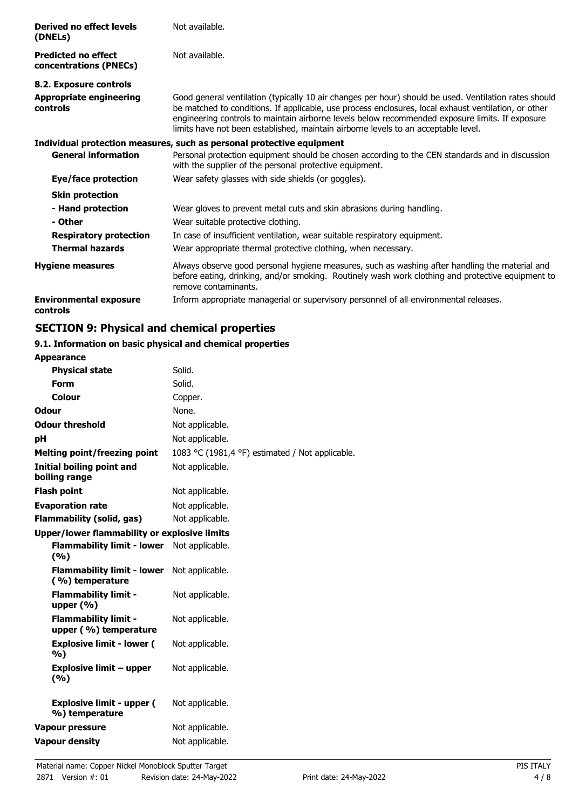| Derived no effect levels<br>(DNELs)                  | Not available.                                                                                                                                                                                                                                                                                                                                                                                         |
|------------------------------------------------------|--------------------------------------------------------------------------------------------------------------------------------------------------------------------------------------------------------------------------------------------------------------------------------------------------------------------------------------------------------------------------------------------------------|
| <b>Predicted no effect</b><br>concentrations (PNECs) | Not available.                                                                                                                                                                                                                                                                                                                                                                                         |
| 8.2. Exposure controls                               |                                                                                                                                                                                                                                                                                                                                                                                                        |
| <b>Appropriate engineering</b><br>controls           | Good general ventilation (typically 10 air changes per hour) should be used. Ventilation rates should<br>be matched to conditions. If applicable, use process enclosures, local exhaust ventilation, or other<br>engineering controls to maintain airborne levels below recommended exposure limits. If exposure<br>limits have not been established, maintain airborne levels to an acceptable level. |
|                                                      | Individual protection measures, such as personal protective equipment                                                                                                                                                                                                                                                                                                                                  |
| <b>General information</b>                           | Personal protection equipment should be chosen according to the CEN standards and in discussion<br>with the supplier of the personal protective equipment.                                                                                                                                                                                                                                             |
| Eye/face protection                                  | Wear safety glasses with side shields (or goggles).                                                                                                                                                                                                                                                                                                                                                    |
| <b>Skin protection</b>                               |                                                                                                                                                                                                                                                                                                                                                                                                        |
| - Hand protection                                    | Wear gloves to prevent metal cuts and skin abrasions during handling.                                                                                                                                                                                                                                                                                                                                  |
| - Other                                              | Wear suitable protective clothing.                                                                                                                                                                                                                                                                                                                                                                     |
| <b>Respiratory protection</b>                        | In case of insufficient ventilation, wear suitable respiratory equipment.                                                                                                                                                                                                                                                                                                                              |
| <b>Thermal hazards</b>                               | Wear appropriate thermal protective clothing, when necessary.                                                                                                                                                                                                                                                                                                                                          |
| <b>Hygiene measures</b>                              | Always observe good personal hygiene measures, such as washing after handling the material and<br>before eating, drinking, and/or smoking. Routinely wash work clothing and protective equipment to<br>remove contaminants.                                                                                                                                                                            |
| <b>Environmental exposure</b><br>controls            | Inform appropriate managerial or supervisory personnel of all environmental releases.                                                                                                                                                                                                                                                                                                                  |

# **SECTION 9: Physical and chemical properties**

#### **9.1. Information on basic physical and chemical properties Appearance**

| Appearance                                           |                                                 |
|------------------------------------------------------|-------------------------------------------------|
| <b>Physical state</b>                                | Solid.                                          |
| <b>Form</b>                                          | Solid.                                          |
| Colour                                               | Copper.                                         |
| <b>Odour</b>                                         | None.                                           |
| <b>Odour threshold</b>                               | Not applicable.                                 |
| рH                                                   | Not applicable.                                 |
| <b>Melting point/freezing point</b>                  | 1083 °C (1981,4 °F) estimated / Not applicable. |
| <b>Initial boiling point and</b><br>boiling range    | Not applicable.                                 |
| <b>Flash point</b>                                   | Not applicable.                                 |
| <b>Evaporation rate</b>                              | Not applicable.                                 |
| <b>Flammability (solid, gas)</b>                     | Not applicable.                                 |
| <b>Upper/lower flammability or explosive limits</b>  |                                                 |
| <b>Flammability limit - lower</b><br>(%)             | Not applicable.                                 |
| <b>Flammability limit - lower</b><br>(%) temperature | Not applicable.                                 |
| <b>Flammability limit -</b><br>upper $(\% )$         | Not applicable.                                 |
| <b>Flammability limit -</b><br>upper (%) temperature | Not applicable.                                 |
| <b>Explosive limit - lower (</b><br>%)               | Not applicable.                                 |
| <b>Explosive limit - upper</b><br>(9/6)              | Not applicable.                                 |
| <b>Explosive limit - upper (</b><br>%) temperature   | Not applicable.                                 |
| <b>Vapour pressure</b>                               | Not applicable.                                 |
| <b>Vapour density</b>                                | Not applicable.                                 |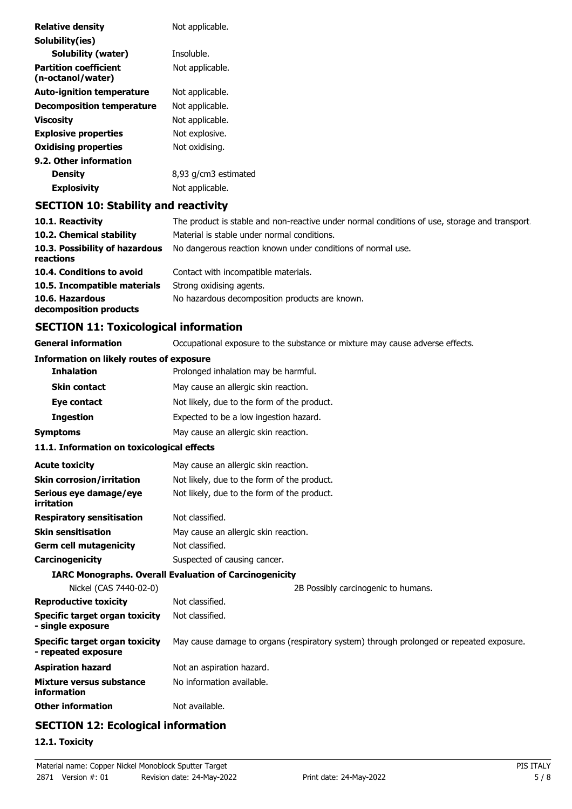| <b>Relative density</b>                           | Not applicable.                                                                               |
|---------------------------------------------------|-----------------------------------------------------------------------------------------------|
| Solubility(ies)                                   |                                                                                               |
| <b>Solubility (water)</b>                         | Insoluble.                                                                                    |
| <b>Partition coefficient</b><br>(n-octanol/water) | Not applicable.                                                                               |
| <b>Auto-ignition temperature</b>                  | Not applicable.                                                                               |
| <b>Decomposition temperature</b>                  | Not applicable.                                                                               |
| <b>Viscosity</b>                                  | Not applicable.                                                                               |
| <b>Explosive properties</b>                       | Not explosive.                                                                                |
| <b>Oxidising properties</b>                       | Not oxidising.                                                                                |
| 9.2. Other information                            |                                                                                               |
| <b>Density</b>                                    | 8,93 g/cm3 estimated                                                                          |
| <b>Explosivity</b>                                | Not applicable.                                                                               |
| <b>SECTION 10: Stability and reactivity</b>       |                                                                                               |
| 10.1. Reactivity                                  | The product is stable and non-reactive under normal conditions of use, storage and transport. |

| The product is stable and non-reactive under normal conditions of use, storage and transport |
|----------------------------------------------------------------------------------------------|
| Material is stable under normal conditions.                                                  |
| No dangerous reaction known under conditions of normal use.                                  |
| Contact with incompatible materials.                                                         |
| Strong oxidising agents.                                                                     |
| No hazardous decomposition products are known.                                               |
|                                                                                              |

# **SECTION 11: Toxicological information**

| <b>General information</b>                                   | Occupational exposure to the substance or mixture may cause adverse effects.            |  |
|--------------------------------------------------------------|-----------------------------------------------------------------------------------------|--|
| <b>Information on likely routes of exposure</b>              |                                                                                         |  |
| <b>Inhalation</b>                                            | Prolonged inhalation may be harmful.                                                    |  |
| <b>Skin contact</b>                                          | May cause an allergic skin reaction.                                                    |  |
| Eye contact                                                  | Not likely, due to the form of the product.                                             |  |
| <b>Ingestion</b>                                             | Expected to be a low ingestion hazard.                                                  |  |
| <b>Symptoms</b>                                              | May cause an allergic skin reaction.                                                    |  |
| 11.1. Information on toxicological effects                   |                                                                                         |  |
| <b>Acute toxicity</b>                                        | May cause an allergic skin reaction.                                                    |  |
| <b>Skin corrosion/irritation</b>                             | Not likely, due to the form of the product.                                             |  |
| Serious eye damage/eye<br>irritation                         | Not likely, due to the form of the product.                                             |  |
| <b>Respiratory sensitisation</b>                             | Not classified.                                                                         |  |
| <b>Skin sensitisation</b>                                    | May cause an allergic skin reaction.                                                    |  |
| <b>Germ cell mutagenicity</b>                                | Not classified.                                                                         |  |
| Carcinogenicity                                              | Suspected of causing cancer.                                                            |  |
|                                                              | <b>IARC Monographs. Overall Evaluation of Carcinogenicity</b>                           |  |
| Nickel (CAS 7440-02-0)                                       | 2B Possibly carcinogenic to humans.                                                     |  |
| <b>Reproductive toxicity</b>                                 | Not classified.                                                                         |  |
| Specific target organ toxicity<br>- single exposure          | Not classified.                                                                         |  |
| <b>Specific target organ toxicity</b><br>- repeated exposure | May cause damage to organs (respiratory system) through prolonged or repeated exposure. |  |
| <b>Aspiration hazard</b>                                     | Not an aspiration hazard.                                                               |  |
| Mixture versus substance<br>information                      | No information available.                                                               |  |
| <b>Other information</b>                                     | Not available.                                                                          |  |
|                                                              |                                                                                         |  |

# **SECTION 12: Ecological information**

# **12.1. Toxicity**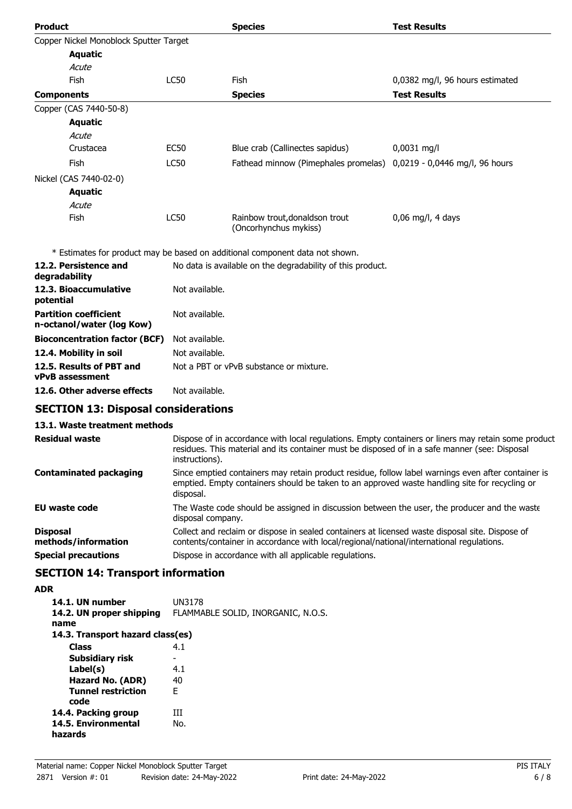| <b>Product</b>                                            |                | <b>Species</b>                                                               | <b>Test Results</b>             |
|-----------------------------------------------------------|----------------|------------------------------------------------------------------------------|---------------------------------|
| Copper Nickel Monoblock Sputter Target                    |                |                                                                              |                                 |
| <b>Aquatic</b>                                            |                |                                                                              |                                 |
| Acute                                                     |                |                                                                              |                                 |
| Fish                                                      | <b>LC50</b>    | Fish                                                                         | 0,0382 mg/l, 96 hours estimated |
| <b>Components</b>                                         |                | <b>Species</b>                                                               | <b>Test Results</b>             |
| Copper (CAS 7440-50-8)                                    |                |                                                                              |                                 |
| <b>Aquatic</b>                                            |                |                                                                              |                                 |
| Acute                                                     |                |                                                                              |                                 |
| Crustacea                                                 | <b>EC50</b>    | Blue crab (Callinectes sapidus)                                              | $0,0031$ mg/l                   |
| Fish                                                      | <b>LC50</b>    | Fathead minnow (Pimephales promelas)                                         | 0,0219 - 0,0446 mg/l, 96 hours  |
| Nickel (CAS 7440-02-0)                                    |                |                                                                              |                                 |
| <b>Aquatic</b>                                            |                |                                                                              |                                 |
| Acute                                                     |                |                                                                              |                                 |
| Fish                                                      | <b>LC50</b>    | Rainbow trout, donaldson trout<br>(Oncorhynchus mykiss)                      | 0,06 mg/l, 4 days               |
|                                                           |                | * Estimates for product may be based on additional component data not shown. |                                 |
| 12.2. Persistence and<br>degradability                    |                | No data is available on the degradability of this product.                   |                                 |
| 12.3. Bioaccumulative<br>potential                        | Not available. |                                                                              |                                 |
| <b>Partition coefficient</b><br>n-octanol/water (log Kow) | Not available. |                                                                              |                                 |

| <b>Bioconcentration factor (BCF)</b> Not available. |                                         |
|-----------------------------------------------------|-----------------------------------------|
| 12.4. Mobility in soil                              | Not available.                          |
| 12.5. Results of PBT and                            | Not a PBT or vPvB substance or mixture. |
| <b>vPvB</b> assessment                              |                                         |

**12.6. Other adverse effects** Not available.

# **SECTION 13: Disposal considerations**

## **13.1. Waste treatment methods**

| <b>Residual waste</b>                  | Dispose of in accordance with local regulations. Empty containers or liners may retain some product<br>residues. This material and its container must be disposed of in a safe manner (see: Disposal<br>instructions). |
|----------------------------------------|------------------------------------------------------------------------------------------------------------------------------------------------------------------------------------------------------------------------|
| <b>Contaminated packaging</b>          | Since emptied containers may retain product residue, follow label warnings even after container is<br>emptied. Empty containers should be taken to an approved waste handling site for recycling or<br>disposal.       |
| EU waste code                          | The Waste code should be assigned in discussion between the user, the producer and the waste<br>disposal company.                                                                                                      |
| <b>Disposal</b><br>methods/information | Collect and reclaim or dispose in sealed containers at licensed waste disposal site. Dispose of<br>contents/container in accordance with local/regional/national/international regulations.                            |
| <b>Special precautions</b>             | Dispose in accordance with all applicable regulations.                                                                                                                                                                 |

# **SECTION 14: Transport information**

# **ADR**

| 14.1. UN number<br>14.2. UN proper shipping<br>name | UN3178<br>FLAMMABLE SOLID, INORGANIC, N.O.S. |
|-----------------------------------------------------|----------------------------------------------|
| 14.3. Transport hazard class(es)                    |                                              |
| <b>Class</b>                                        | 4.1                                          |
| Subsidiary risk                                     | -                                            |
| Label(s)                                            | 4.1                                          |
| Hazard No. (ADR)                                    | 40                                           |
| <b>Tunnel restriction</b><br>code                   | F                                            |
| 14.4. Packing group                                 | ĦТ                                           |
| 14.5. Environmental<br>hazards                      | No.                                          |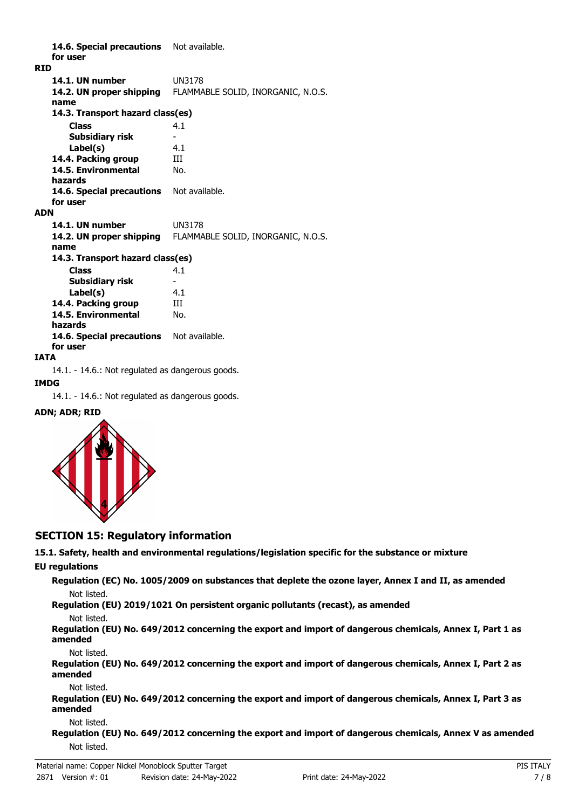14.6. Special precautions Not available. **for user RID 14.1. UN number** UN3178 **14.2. UN proper shipping** FLAMMABLE SOLID, INORGANIC, N.O.S. **name Class** 4.1 **14.3. Transport hazard class(es) Subsidiary risk Label(s)** 4.1 **14.4. Packing group III 14.5. Environmental** No. **hazards** 14.6. Special precautions Not available. **for user ADN 14.1. UN number** UN3178 **14.2. UN proper shipping** FLAMMABLE SOLID, INORGANIC, N.O.S. **name Class** 4.1 **14.3. Transport hazard class(es) Subsidiary risk Label(s)** 4.1 **14.4. Packing group III 14.5. Environmental** No. **hazards** 14.6. Special precautions Not available. **for user**

### **IATA**

14.1. - 14.6.: Not regulated as dangerous goods.

### **IMDG**

14.1. - 14.6.: Not regulated as dangerous goods.

### **ADN; ADR; RID**



## **SECTION 15: Regulatory information**

**15.1. Safety, health and environmental regulations/legislation specific for the substance or mixture**

### **EU regulations**

**Regulation (EC) No. 1005/2009 on substances that deplete the ozone layer, Annex I and II, as amended** Not listed.

**Regulation (EU) 2019/1021 On persistent organic pollutants (recast), as amended**

### Not listed.

**Regulation (EU) No. 649/2012 concerning the export and import of dangerous chemicals, Annex I, Part 1 as amended**

Not listed.

**Regulation (EU) No. 649/2012 concerning the export and import of dangerous chemicals, Annex I, Part 2 as amended**

### Not listed.

**Regulation (EU) No. 649/2012 concerning the export and import of dangerous chemicals, Annex I, Part 3 as amended**

### Not listed.

**Regulation (EU) No. 649/2012 concerning the export and import of dangerous chemicals, Annex V as amended** Not listed.